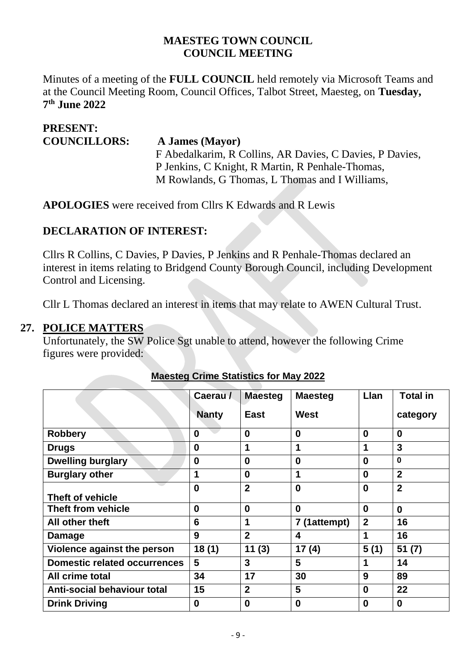#### **MAESTEG TOWN COUNCIL COUNCIL MEETING**

Minutes of a meeting of the **FULL COUNCIL** held remotely via Microsoft Teams and at the Council Meeting Room, Council Offices, Talbot Street, Maesteg, on **Tuesday, 7 th June 2022**

| <b>PRESENT:</b>     |                                                          |
|---------------------|----------------------------------------------------------|
| <b>COUNCILLORS:</b> | A James (Mayor)                                          |
|                     | F Abedalkarim, R Collins, AR Davies, C Davies, P Davies, |
|                     | P Jenkins, C Knight, R Martin, R Penhale-Thomas,         |
|                     | M Rowlands, G Thomas, L Thomas and I Williams,           |

**APOLOGIES** were received from Cllrs K Edwards and R Lewis

#### **DECLARATION OF INTEREST:**

Cllrs R Collins, C Davies, P Davies, P Jenkins and R Penhale-Thomas declared an interest in items relating to Bridgend County Borough Council, including Development Control and Licensing.

Cllr L Thomas declared an interest in items that may relate to AWEN Cultural Trust.

#### **27. POLICE MATTERS**

Unfortunately, the SW Police Sgt unable to attend, however the following Crime figures were provided:

|                                     | Caerau /     | <b>Maesteg</b> | <b>Maesteg</b> | Llan         | <b>Total in</b> |
|-------------------------------------|--------------|----------------|----------------|--------------|-----------------|
|                                     | <b>Nanty</b> | <b>East</b>    | West           |              | category        |
| <b>Robbery</b>                      | $\bf{0}$     | $\bf{0}$       | $\bf{0}$       | $\bf{0}$     | $\bf{0}$        |
| <b>Drugs</b>                        | $\bf{0}$     | 1              | 1              |              | 3               |
| <b>Dwelling burglary</b>            | 0            | $\bf{0}$       | $\bf{0}$       | 0            | $\bf{0}$        |
| <b>Burglary other</b>               | 1            | $\bf{0}$       | 1              | 0            | $\overline{2}$  |
| <b>Theft of vehicle</b>             | $\bf{0}$     | $\overline{2}$ | $\bf{0}$       | $\bf{0}$     | $\overline{2}$  |
| Theft from vehicle                  | $\bf{0}$     | $\bf{0}$       | $\bf{0}$       | 0            | $\bf{0}$        |
| All other theft                     | 6            | 1              | 7 (1attempt)   | $\mathbf{2}$ | 16              |
| Damage                              | 9            | $\overline{2}$ | 4              |              | 16              |
| Violence against the person         | 18(1)        | 11(3)          | 17(4)          | 5(1)         | 51(7)           |
| <b>Domestic related occurrences</b> | 5            | 3              | 5              |              | 14              |
| All crime total                     | 34           | 17             | 30             | 9            | 89              |
| <b>Anti-social behaviour total</b>  | 15           | $\overline{2}$ | 5              | 0            | 22              |
| <b>Drink Driving</b>                | 0            | $\bf{0}$       | $\bf{0}$       | 0            | $\bf{0}$        |

### **Maesteg Crime Statistics for May 2022**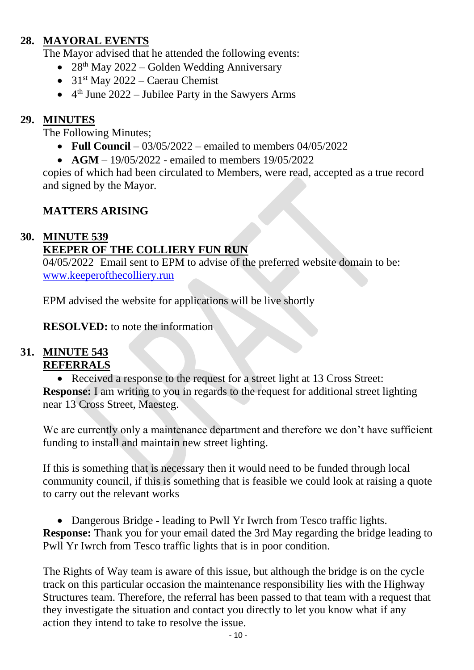# **28. MAYORAL EVENTS**

The Mayor advised that he attended the following events:

- 28<sup>th</sup> May 2022 Golden Wedding Anniversary
- $31<sup>st</sup>$  May 2022 Caerau Chemist
- $\bullet$  4<sup>th</sup> June 2022 Jubilee Party in the Sawyers Arms

# **29. MINUTES**

The Following Minutes;

- **Full Council**  $03/05/2022$  emailed to members  $04/05/2022$
- **AGM** 19/05/2022 emailed to members 19/05/2022

copies of which had been circulated to Members, were read, accepted as a true record and signed by the Mayor.

# **MATTERS ARISING**

# **30. MINUTE 539**

# **KEEPER OF THE COLLIERY FUN RUN**

04/05/2022 Email sent to EPM to advise of the preferred website domain to be: [www.keeperofthecolliery.run](http://www.keeperofthecolliery.run/)

EPM advised the website for applications will be live shortly

**RESOLVED:** to note the information

## **31. MINUTE 543 REFERRALS**

• Received a response to the request for a street light at 13 Cross Street: **Response:** I am writing to you in regards to the request for additional street lighting near 13 Cross Street, Maesteg.

We are currently only a maintenance department and therefore we don't have sufficient funding to install and maintain new street lighting.

If this is something that is necessary then it would need to be funded through local community council, if this is something that is feasible we could look at raising a quote to carry out the relevant works

• Dangerous Bridge - leading to Pwll Yr Iwrch from Tesco traffic lights. **Response:** Thank you for your email dated the 3rd May regarding the bridge leading to Pwll Yr Iwrch from Tesco traffic lights that is in poor condition.

The Rights of Way team is aware of this issue, but although the bridge is on the cycle track on this particular occasion the maintenance responsibility lies with the Highway Structures team. Therefore, the referral has been passed to that team with a request that they investigate the situation and contact you directly to let you know what if any action they intend to take to resolve the issue.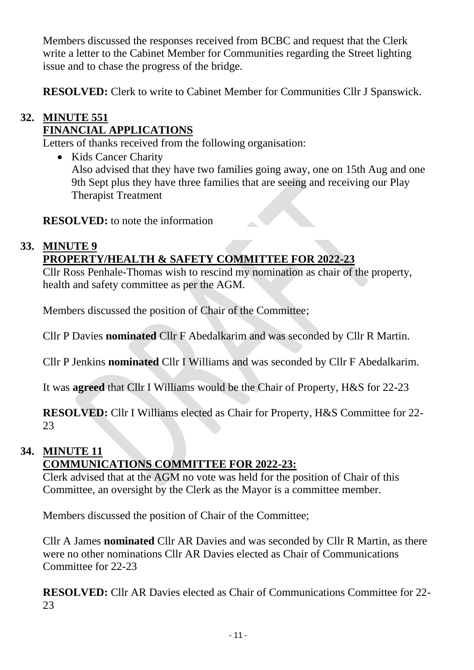Members discussed the responses received from BCBC and request that the Clerk write a letter to the Cabinet Member for Communities regarding the Street lighting issue and to chase the progress of the bridge.

**RESOLVED:** Clerk to write to Cabinet Member for Communities Cllr J Spanswick.

# **32. MINUTE 551 FINANCIAL APPLICATIONS**

Letters of thanks received from the following organisation:

• Kids Cancer Charity Also advised that they have two families going away, one on 15th Aug and one 9th Sept plus they have three families that are seeing and receiving our Play Therapist Treatment

**RESOLVED:** to note the information

# **33. MINUTE 9**

# **PROPERTY/HEALTH & SAFETY COMMITTEE FOR 2022-23**

Cllr Ross Penhale-Thomas wish to rescind my nomination as chair of the property, health and safety committee as per the AGM.

Members discussed the position of Chair of the Committee;

Cllr P Davies **nominated** Cllr F Abedalkarim and was seconded by Cllr R Martin.

Cllr P Jenkins **nominated** Cllr I Williams and was seconded by Cllr F Abedalkarim.

It was **agreed** that Cllr I Williams would be the Chair of Property, H&S for 22-23

**RESOLVED:** Cllr I Williams elected as Chair for Property, H&S Committee for 22- 23

#### **34. MINUTE 11 COMMUNICATIONS COMMITTEE FOR 2022-23:**

Clerk advised that at the AGM no vote was held for the position of Chair of this Committee, an oversight by the Clerk as the Mayor is a committee member.

Members discussed the position of Chair of the Committee;

Cllr A James **nominated** Cllr AR Davies and was seconded by Cllr R Martin, as there were no other nominations Cllr AR Davies elected as Chair of Communications Committee for 22-23

**RESOLVED:** Cllr AR Davies elected as Chair of Communications Committee for 22- 23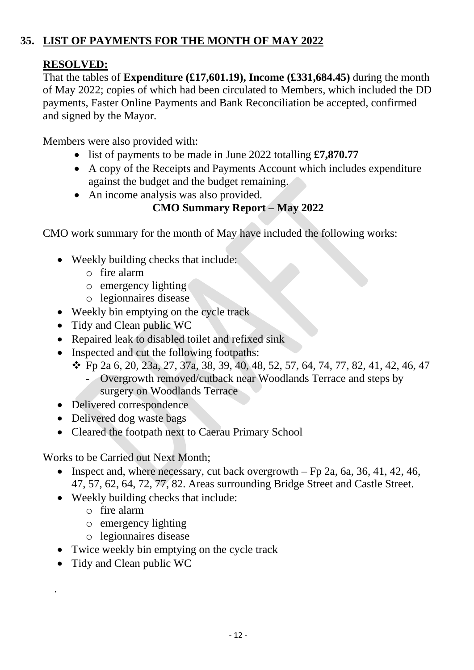# **35. LIST OF PAYMENTS FOR THE MONTH OF MAY 2022**

## **RESOLVED:**

That the tables of **Expenditure (£17,601.19), Income (£331,684.45)** during the month of May 2022; copies of which had been circulated to Members, which included the DD payments, Faster Online Payments and Bank Reconciliation be accepted, confirmed and signed by the Mayor.

Members were also provided with:

- list of payments to be made in June 2022 totalling **£7,870.77**
- A copy of the Receipts and Payments Account which includes expenditure against the budget and the budget remaining.
- An income analysis was also provided.

# **CMO Summary Report – May 2022**

CMO work summary for the month of May have included the following works:

- Weekly building checks that include:
	- o fire alarm
	- o emergency lighting
	- o legionnaires disease
- Weekly bin emptying on the cycle track
- Tidy and Clean public WC
- Repaired leak to disabled toilet and refixed sink
- Inspected and cut the following footpaths:
	- ❖ Fp 2a 6, 20, 23a, 27, 37a, 38, 39, 40, 48, 52, 57, 64, 74, 77, 82, 41, 42, 46, 47 - Overgrowth removed/cutback near Woodlands Terrace and steps by
		- surgery on Woodlands Terrace
- Delivered correspondence
- Delivered dog waste bags
- Cleared the footpath next to Caerau Primary School

Works to be Carried out Next Month;

- Inspect and, where necessary, cut back overgrowth  $-$  Fp 2a, 6a, 36, 41, 42, 46, 47, 57, 62, 64, 72, 77, 82. Areas surrounding Bridge Street and Castle Street.
- Weekly building checks that include:
	- o fire alarm
	- o emergency lighting
	- o legionnaires disease
- Twice weekly bin emptying on the cycle track
- Tidy and Clean public WC

.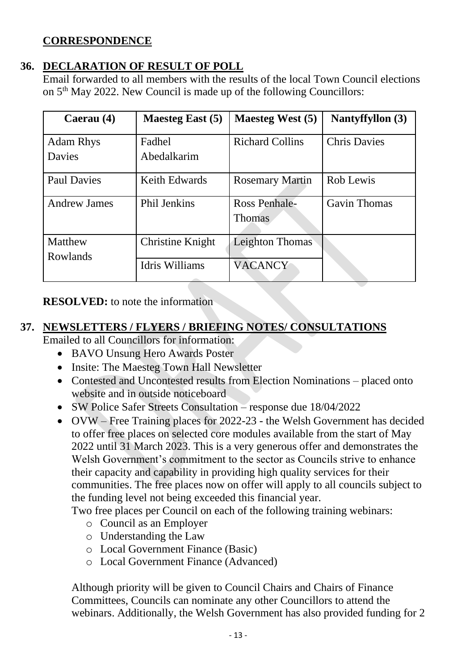### **CORRESPONDENCE**

### **36. DECLARATION OF RESULT OF POLL**

Email forwarded to all members with the results of the local Town Council elections on 5th May 2022. New Council is made up of the following Councillors:

| Caerau (4)                 | <b>Maesteg East (5)</b> | Maesteg West (5)        | Nantyffyllon (3)    |
|----------------------------|-------------------------|-------------------------|---------------------|
| <b>Adam Rhys</b><br>Davies | Fadhel<br>Abedalkarim   | <b>Richard Collins</b>  | <b>Chris Davies</b> |
| <b>Paul Davies</b>         | <b>Keith Edwards</b>    | <b>Rosemary Martin</b>  | Rob Lewis           |
| <b>Andrew James</b>        | <b>Phil Jenkins</b>     | Ross Penhale-<br>Thomas | <b>Gavin Thomas</b> |
| Matthew<br>Rowlands        | Christine Knight        | Leighton Thomas         |                     |
|                            | Idris Williams          | <b>VACANCY</b>          |                     |

**RESOLVED:** to note the information

#### **37. NEWSLETTERS / FLYERS / BRIEFING NOTES/ CONSULTATIONS**

Emailed to all Councillors for information:

- BAVO Unsung Hero Awards Poster
- Insite: The Maesteg Town Hall Newsletter
- Contested and Uncontested results from Election Nominations placed onto website and in outside noticeboard
- SW Police Safer Streets Consultation response due 18/04/2022
- OVW Free Training places for 2022-23 the Welsh Government has decided to offer free places on selected core modules available from the start of May 2022 until 31 March 2023. This is a very generous offer and demonstrates the Welsh Government's commitment to the sector as Councils strive to enhance their capacity and capability in providing high quality services for their communities. The free places now on offer will apply to all councils subject to the funding level not being exceeded this financial year.

Two free places per Council on each of the following training webinars:

- o Council as an Employer
- o Understanding the Law
- o Local Government Finance (Basic)
- o Local Government Finance (Advanced)

Although priority will be given to Council Chairs and Chairs of Finance Committees, Councils can nominate any other Councillors to attend the webinars. Additionally, the Welsh Government has also provided funding for 2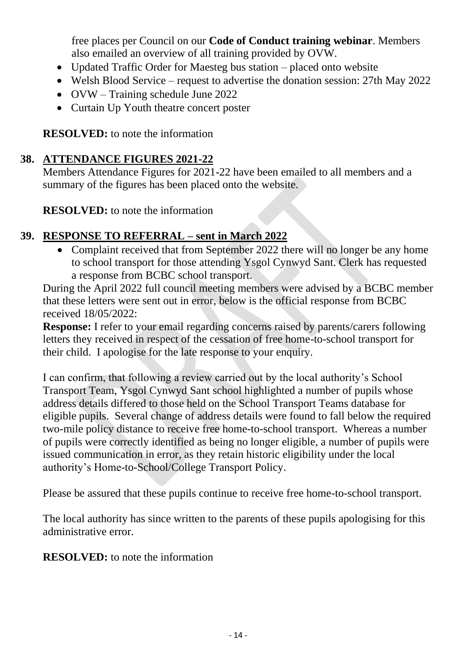free places per Council on our **Code of Conduct training webinar**. Members also emailed an overview of all training provided by OVW.

- Updated Traffic Order for Maesteg bus station placed onto website
- Welsh Blood Service request to advertise the donation session: 27th May 2022
- OVW Training schedule June 2022
- Curtain Up Youth theatre concert poster

**RESOLVED:** to note the information

# **38. ATTENDANCE FIGURES 2021-22**

Members Attendance Figures for 2021-22 have been emailed to all members and a summary of the figures has been placed onto the website.

**RESOLVED:** to note the information

# **39. RESPONSE TO REFERRAL – sent in March 2022**

• Complaint received that from September 2022 there will no longer be any home to school transport for those attending Ysgol Cynwyd Sant. Clerk has requested a response from BCBC school transport.

During the April 2022 full council meeting members were advised by a BCBC member that these letters were sent out in error, below is the official response from BCBC received 18/05/2022:

**Response:** I refer to your email regarding concerns raised by parents/carers following letters they received in respect of the cessation of free home-to-school transport for their child. I apologise for the late response to your enquiry.

I can confirm, that following a review carried out by the local authority's School Transport Team, Ysgol Cynwyd Sant school highlighted a number of pupils whose address details differed to those held on the School Transport Teams database for eligible pupils. Several change of address details were found to fall below the required two-mile policy distance to receive free home-to-school transport. Whereas a number of pupils were correctly identified as being no longer eligible, a number of pupils were issued communication in error, as they retain historic eligibility under the local authority's Home-to-School/College Transport Policy.

Please be assured that these pupils continue to receive free home-to-school transport.

The local authority has since written to the parents of these pupils apologising for this administrative error.

**RESOLVED:** to note the information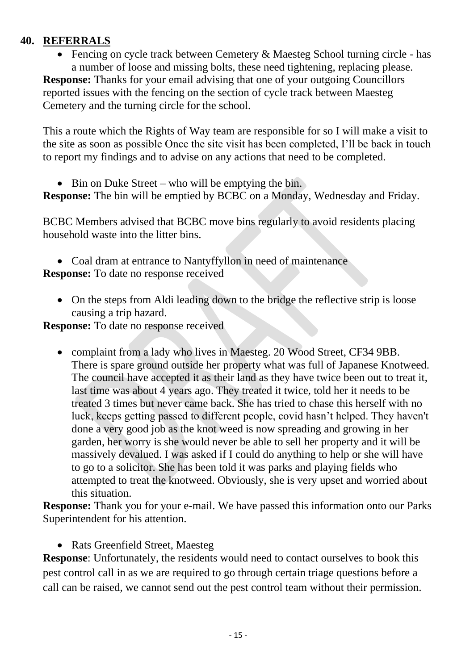### **40. REFERRALS**

• Fencing on cycle track between Cemetery & Maesteg School turning circle - has a number of loose and missing bolts, these need tightening, replacing please.

**Response:** Thanks for your email advising that one of your outgoing Councillors reported issues with the fencing on the section of cycle track between Maesteg Cemetery and the turning circle for the school.

This a route which the Rights of Way team are responsible for so I will make a visit to the site as soon as possible Once the site visit has been completed, I'll be back in touch to report my findings and to advise on any actions that need to be completed.

• Bin on Duke Street – who will be emptying the bin.

**Response:** The bin will be emptied by BCBC on a Monday, Wednesday and Friday.

BCBC Members advised that BCBC move bins regularly to avoid residents placing household waste into the litter bins.

• Coal dram at entrance to Nantyffyllon in need of maintenance

**Response:** To date no response received

• On the steps from Aldi leading down to the bridge the reflective strip is loose causing a trip hazard.

**Response:** To date no response received

• complaint from a lady who lives in Maesteg. 20 Wood Street, CF34 9BB. There is spare ground outside her property what was full of Japanese Knotweed. The council have accepted it as their land as they have twice been out to treat it, last time was about 4 years ago. They treated it twice, told her it needs to be treated 3 times but never came back. She has tried to chase this herself with no luck, keeps getting passed to different people, covid hasn't helped. They haven't done a very good job as the knot weed is now spreading and growing in her garden, her worry is she would never be able to sell her property and it will be massively devalued. I was asked if I could do anything to help or she will have to go to a solicitor. She has been told it was parks and playing fields who attempted to treat the knotweed. Obviously, she is very upset and worried about this situation.

**Response:** Thank you for your e-mail. We have passed this information onto our Parks Superintendent for his attention.

• Rats Greenfield Street, Maesteg

**Response**: Unfortunately, the residents would need to contact ourselves to book this pest control call in as we are required to go through certain triage questions before a call can be raised, we cannot send out the pest control team without their permission.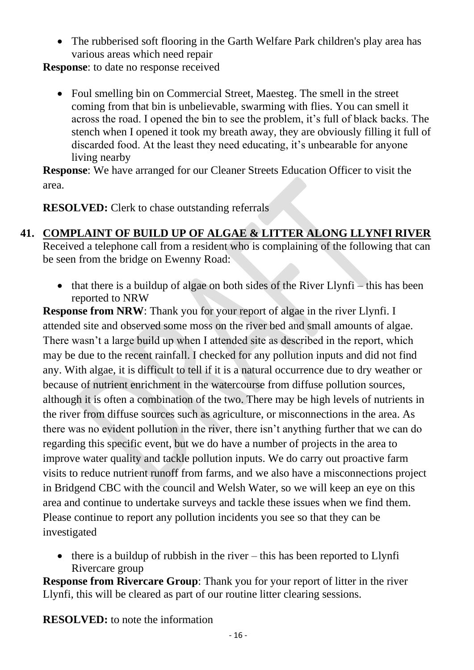• The rubberised soft flooring in the Garth Welfare Park children's play area has various areas which need repair

**Response**: to date no response received

• Foul smelling bin on Commercial Street, Maesteg. The smell in the street coming from that bin is unbelievable, swarming with flies. You can smell it across the road. I opened the bin to see the problem, it's full of black backs. The stench when I opened it took my breath away, they are obviously filling it full of discarded food. At the least they need educating, it's unbearable for anyone living nearby

**Response**: We have arranged for our Cleaner Streets Education Officer to visit the area.

**RESOLVED:** Clerk to chase outstanding referrals

# **41. COMPLAINT OF BUILD UP OF ALGAE & LITTER ALONG LLYNFI RIVER**

Received a telephone call from a resident who is complaining of the following that can be seen from the bridge on Ewenny Road:

• that there is a buildup of algae on both sides of the River Llynfi – this has been reported to NRW

**Response from NRW**: Thank you for your report of algae in the river Llynfi. I attended site and observed some moss on the river bed and small amounts of algae. There wasn't a large build up when I attended site as described in the report, which may be due to the recent rainfall. I checked for any pollution inputs and did not find any. With algae, it is difficult to tell if it is a natural occurrence due to dry weather or because of nutrient enrichment in the watercourse from diffuse pollution sources, although it is often a combination of the two. There may be high levels of nutrients in the river from diffuse sources such as agriculture, or misconnections in the area. As there was no evident pollution in the river, there isn't anything further that we can do regarding this specific event, but we do have a number of projects in the area to improve water quality and tackle pollution inputs. We do carry out proactive farm visits to reduce nutrient runoff from farms, and we also have a misconnections project in Bridgend CBC with the council and Welsh Water, so we will keep an eye on this area and continue to undertake surveys and tackle these issues when we find them. Please continue to report any pollution incidents you see so that they can be investigated

• there is a buildup of rubbish in the river – this has been reported to  $Llynfi$ Rivercare group

**Response from Rivercare Group:** Thank you for your report of litter in the river Llynfi, this will be cleared as part of our routine litter clearing sessions.

**RESOLVED:** to note the information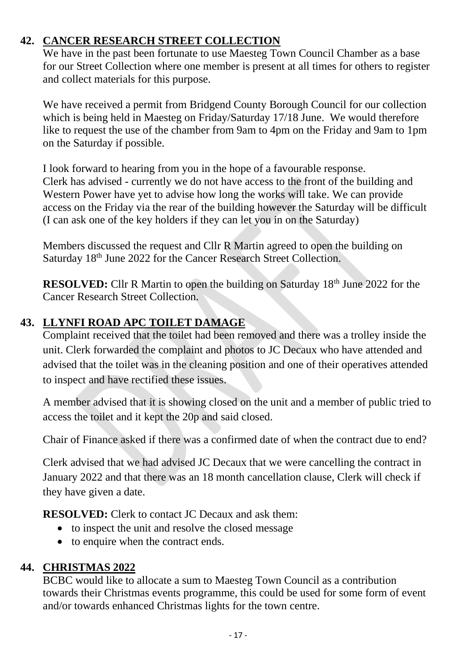## **42. CANCER RESEARCH STREET COLLECTION**

We have in the past been fortunate to use Maesteg Town Council Chamber as a base for our Street Collection where one member is present at all times for others to register and collect materials for this purpose.

We have received a permit from Bridgend County Borough Council for our collection which is being held in Maesteg on Friday/Saturday 17/18 June. We would therefore like to request the use of the chamber from 9am to 4pm on the Friday and 9am to 1pm on the Saturday if possible.

I look forward to hearing from you in the hope of a favourable response. Clerk has advised - currently we do not have access to the front of the building and Western Power have yet to advise how long the works will take. We can provide access on the Friday via the rear of the building however the Saturday will be difficult (I can ask one of the key holders if they can let you in on the Saturday)

Members discussed the request and Cllr R Martin agreed to open the building on Saturday 18<sup>th</sup> June 2022 for the Cancer Research Street Collection.

**RESOLVED:** Cllr R Martin to open the building on Saturday 18<sup>th</sup> June 2022 for the Cancer Research Street Collection.

## **43. LLYNFI ROAD APC TOILET DAMAGE**

Complaint received that the toilet had been removed and there was a trolley inside the unit. Clerk forwarded the complaint and photos to JC Decaux who have attended and advised that the toilet was in the cleaning position and one of their operatives attended to inspect and have rectified these issues.

A member advised that it is showing closed on the unit and a member of public tried to access the toilet and it kept the 20p and said closed.

Chair of Finance asked if there was a confirmed date of when the contract due to end?

Clerk advised that we had advised JC Decaux that we were cancelling the contract in January 2022 and that there was an 18 month cancellation clause, Clerk will check if they have given a date.

**RESOLVED:** Clerk to contact JC Decaux and ask them:

- to inspect the unit and resolve the closed message
- to enquire when the contract ends.

### **44. CHRISTMAS 2022**

BCBC would like to allocate a sum to Maesteg Town Council as a contribution towards their Christmas events programme, this could be used for some form of event and/or towards enhanced Christmas lights for the town centre.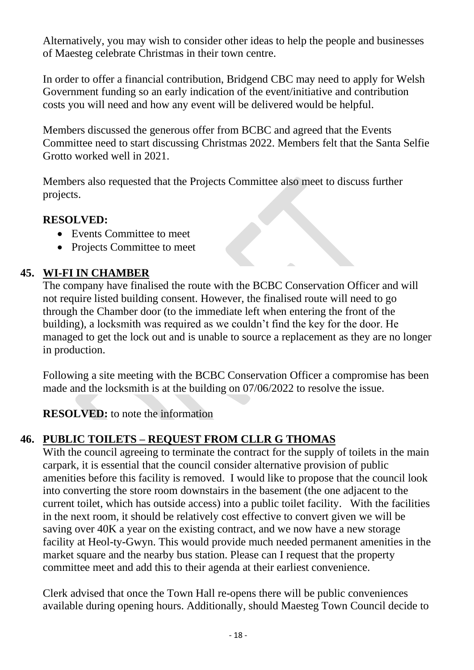Alternatively, you may wish to consider other ideas to help the people and businesses of Maesteg celebrate Christmas in their town centre.

In order to offer a financial contribution, Bridgend CBC may need to apply for Welsh Government funding so an early indication of the event/initiative and contribution costs you will need and how any event will be delivered would be helpful.

Members discussed the generous offer from BCBC and agreed that the Events Committee need to start discussing Christmas 2022. Members felt that the Santa Selfie Grotto worked well in 2021.

Members also requested that the Projects Committee also meet to discuss further projects.

# **RESOLVED:**

- Events Committee to meet
- Projects Committee to meet

# **45. WI-FI IN CHAMBER**

The company have finalised the route with the BCBC Conservation Officer and will not require listed building consent. However, the finalised route will need to go through the Chamber door (to the immediate left when entering the front of the building), a locksmith was required as we couldn't find the key for the door. He managed to get the lock out and is unable to source a replacement as they are no longer in production.

Following a site meeting with the BCBC Conservation Officer a compromise has been made and the locksmith is at the building on 07/06/2022 to resolve the issue.

**RESOLVED:** to note the information

# **46. PUBLIC TOILETS – REQUEST FROM CLLR G THOMAS**

With the council agreeing to terminate the contract for the supply of toilets in the main carpark, it is essential that the council consider alternative provision of public amenities before this facility is removed. I would like to propose that the council look into converting the store room downstairs in the basement (the one adjacent to the current toilet, which has outside access) into a public toilet facility. With the facilities in the next room, it should be relatively cost effective to convert given we will be saving over 40K a year on the existing contract, and we now have a new storage facility at Heol-ty-Gwyn. This would provide much needed permanent amenities in the market square and the nearby bus station. Please can I request that the property committee meet and add this to their agenda at their earliest convenience.

Clerk advised that once the Town Hall re-opens there will be public conveniences available during opening hours. Additionally, should Maesteg Town Council decide to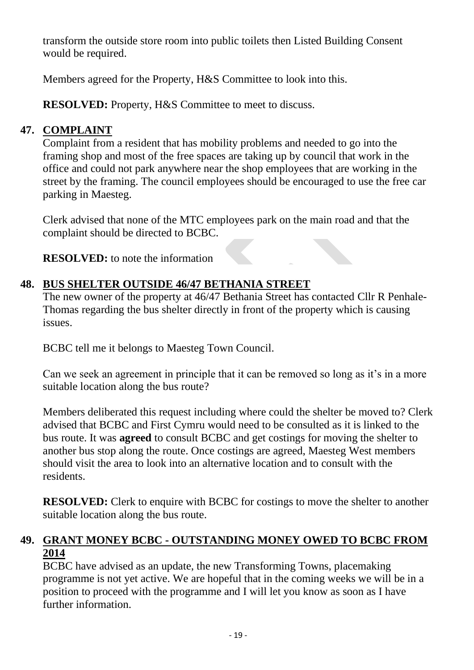transform the outside store room into public toilets then Listed Building Consent would be required.

Members agreed for the Property, H&S Committee to look into this.

**RESOLVED:** Property, H&S Committee to meet to discuss.

# **47. COMPLAINT**

Complaint from a resident that has mobility problems and needed to go into the framing shop and most of the free spaces are taking up by council that work in the office and could not park anywhere near the shop employees that are working in the street by the framing. The council employees should be encouraged to use the free car parking in Maesteg.

Clerk advised that none of the MTC employees park on the main road and that the complaint should be directed to BCBC.

**RESOLVED:** to note the information

# **48. BUS SHELTER OUTSIDE 46/47 BETHANIA STREET**

The new owner of the property at 46/47 Bethania Street has contacted Cllr R Penhale-Thomas regarding the bus shelter directly in front of the property which is causing issues.

BCBC tell me it belongs to Maesteg Town Council.

Can we seek an agreement in principle that it can be removed so long as it's in a more suitable location along the bus route?

Members deliberated this request including where could the shelter be moved to? Clerk advised that BCBC and First Cymru would need to be consulted as it is linked to the bus route. It was **agreed** to consult BCBC and get costings for moving the shelter to another bus stop along the route. Once costings are agreed, Maesteg West members should visit the area to look into an alternative location and to consult with the residents.

**RESOLVED:** Clerk to enquire with BCBC for costings to move the shelter to another suitable location along the bus route.

## **49. GRANT MONEY BCBC - OUTSTANDING MONEY OWED TO BCBC FROM 2014**

BCBC have advised as an update, the new Transforming Towns, placemaking programme is not yet active. We are hopeful that in the coming weeks we will be in a position to proceed with the programme and I will let you know as soon as I have further information.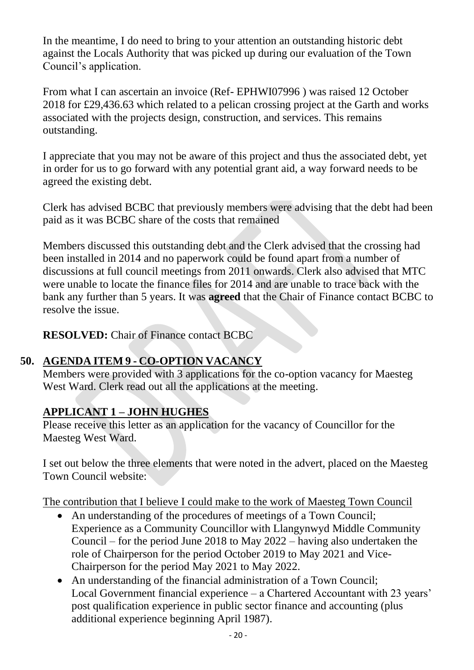In the meantime, I do need to bring to your attention an outstanding historic debt against the Locals Authority that was picked up during our evaluation of the Town Council's application.

From what I can ascertain an invoice (Ref- EPHWI07996 ) was raised 12 October 2018 for £29,436.63 which related to a pelican crossing project at the Garth and works associated with the projects design, construction, and services. This remains outstanding.

I appreciate that you may not be aware of this project and thus the associated debt, yet in order for us to go forward with any potential grant aid, a way forward needs to be agreed the existing debt.

Clerk has advised BCBC that previously members were advising that the debt had been paid as it was BCBC share of the costs that remained

Members discussed this outstanding debt and the Clerk advised that the crossing had been installed in 2014 and no paperwork could be found apart from a number of discussions at full council meetings from 2011 onwards. Clerk also advised that MTC were unable to locate the finance files for 2014 and are unable to trace back with the bank any further than 5 years. It was **agreed** that the Chair of Finance contact BCBC to resolve the issue.

**RESOLVED:** Chair of Finance contact BCBC

# **50. AGENDA ITEM 9 - CO-OPTION VACANCY**

Members were provided with 3 applications for the co-option vacancy for Maesteg West Ward. Clerk read out all the applications at the meeting.

# **APPLICANT 1 – JOHN HUGHES**

Please receive this letter as an application for the vacancy of Councillor for the Maesteg West Ward.

I set out below the three elements that were noted in the advert, placed on the Maesteg Town Council website:

The contribution that I believe I could make to the work of Maesteg Town Council

- An understanding of the procedures of meetings of a Town Council; Experience as a Community Councillor with Llangynwyd Middle Community Council – for the period June 2018 to May 2022 – having also undertaken the role of Chairperson for the period October 2019 to May 2021 and Vice-Chairperson for the period May 2021 to May 2022.
- An understanding of the financial administration of a Town Council: Local Government financial experience – a Chartered Accountant with 23 years' post qualification experience in public sector finance and accounting (plus additional experience beginning April 1987).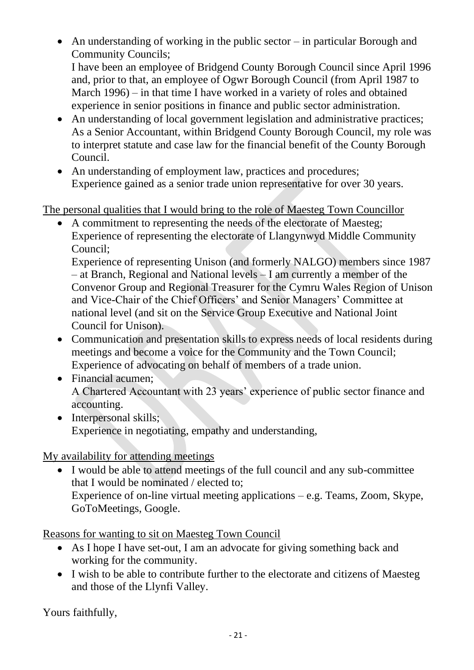- An understanding of working in the public sector in particular Borough and Community Councils; I have been an employee of Bridgend County Borough Council since April 1996 and, prior to that, an employee of Ogwr Borough Council (from April 1987 to March 1996) – in that time I have worked in a variety of roles and obtained experience in senior positions in finance and public sector administration.
- An understanding of local government legislation and administrative practices; As a Senior Accountant, within Bridgend County Borough Council, my role was to interpret statute and case law for the financial benefit of the County Borough Council.
- An understanding of employment law, practices and procedures; Experience gained as a senior trade union representative for over 30 years.

The personal qualities that I would bring to the role of Maesteg Town Councillor

• A commitment to representing the needs of the electorate of Maesteg; Experience of representing the electorate of Llangynwyd Middle Community Council;

Experience of representing Unison (and formerly NALGO) members since 1987 – at Branch, Regional and National levels – I am currently a member of the Convenor Group and Regional Treasurer for the Cymru Wales Region of Unison and Vice-Chair of the Chief Officers' and Senior Managers' Committee at national level (and sit on the Service Group Executive and National Joint Council for Unison).

- Communication and presentation skills to express needs of local residents during meetings and become a voice for the Community and the Town Council; Experience of advocating on behalf of members of a trade union.
- Financial acumen: A Chartered Accountant with 23 years' experience of public sector finance and accounting.
- Interpersonal skills: Experience in negotiating, empathy and understanding,

# My availability for attending meetings

• I would be able to attend meetings of the full council and any sub-committee that I would be nominated / elected to; Experience of on-line virtual meeting applications – e.g. Teams, Zoom, Skype, GoToMeetings, Google.

Reasons for wanting to sit on Maesteg Town Council

- As I hope I have set-out, I am an advocate for giving something back and working for the community.
- I wish to be able to contribute further to the electorate and citizens of Maesteg and those of the Llynfi Valley.

Yours faithfully,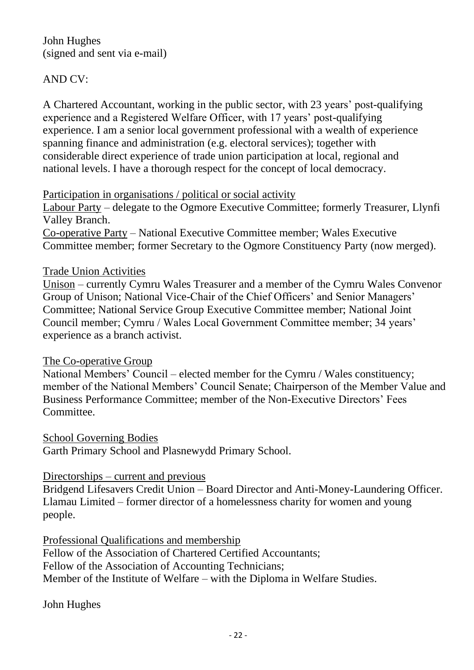John Hughes (signed and sent via e-mail)

#### AND CV:

A Chartered Accountant, working in the public sector, with 23 years' post-qualifying experience and a Registered Welfare Officer, with 17 years' post-qualifying experience. I am a senior local government professional with a wealth of experience spanning finance and administration (e.g. electoral services); together with considerable direct experience of trade union participation at local, regional and national levels. I have a thorough respect for the concept of local democracy.

#### Participation in organisations / political or social activity

Labour Party – delegate to the Ogmore Executive Committee; formerly Treasurer, Llynfi Valley Branch. Co-operative Party – National Executive Committee member; Wales Executive

Committee member; former Secretary to the Ogmore Constituency Party (now merged).

#### Trade Union Activities

Unison – currently Cymru Wales Treasurer and a member of the Cymru Wales Convenor Group of Unison; National Vice-Chair of the Chief Officers' and Senior Managers' Committee; National Service Group Executive Committee member; National Joint Council member; Cymru / Wales Local Government Committee member; 34 years' experience as a branch activist.

#### The Co-operative Group

National Members' Council – elected member for the Cymru / Wales constituency; member of the National Members' Council Senate; Chairperson of the Member Value and Business Performance Committee; member of the Non-Executive Directors' Fees Committee.

School Governing Bodies

Garth Primary School and Plasnewydd Primary School.

#### Directorships – current and previous

Bridgend Lifesavers Credit Union – Board Director and Anti-Money-Laundering Officer. Llamau Limited – former director of a homelessness charity for women and young people.

Professional Qualifications and membership Fellow of the Association of Chartered Certified Accountants; Fellow of the Association of Accounting Technicians; Member of the Institute of Welfare – with the Diploma in Welfare Studies.

John Hughes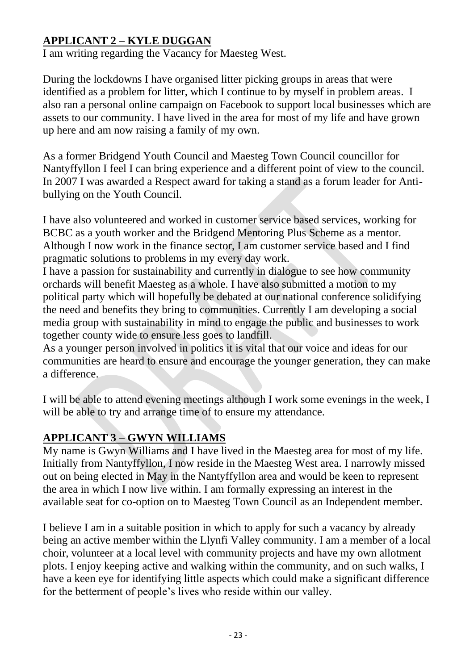# **APPLICANT 2 – KYLE DUGGAN**

I am writing regarding the Vacancy for Maesteg West.

During the lockdowns I have organised litter picking groups in areas that were identified as a problem for litter, which I continue to by myself in problem areas. I also ran a personal online campaign on Facebook to support local businesses which are assets to our community. I have lived in the area for most of my life and have grown up here and am now raising a family of my own.

As a former Bridgend Youth Council and Maesteg Town Council councillor for Nantyffyllon I feel I can bring experience and a different point of view to the council. In 2007 I was awarded a Respect award for taking a stand as a forum leader for Antibullying on the Youth Council.

I have also volunteered and worked in customer service based services, working for BCBC as a youth worker and the Bridgend Mentoring Plus Scheme as a mentor. Although I now work in the finance sector, I am customer service based and I find pragmatic solutions to problems in my every day work.

I have a passion for sustainability and currently in dialogue to see how community orchards will benefit Maesteg as a whole. I have also submitted a motion to my political party which will hopefully be debated at our national conference solidifying the need and benefits they bring to communities. Currently I am developing a social media group with sustainability in mind to engage the public and businesses to work together county wide to ensure less goes to landfill.

As a younger person involved in politics it is vital that our voice and ideas for our communities are heard to ensure and encourage the younger generation, they can make a difference.

I will be able to attend evening meetings although I work some evenings in the week, I will be able to try and arrange time of to ensure my attendance.

# **APPLICANT 3 – GWYN WILLIAMS**

My name is Gwyn Williams and I have lived in the Maesteg area for most of my life. Initially from Nantyffyllon, I now reside in the Maesteg West area. I narrowly missed out on being elected in May in the Nantyffyllon area and would be keen to represent the area in which I now live within. I am formally expressing an interest in the available seat for co-option on to Maesteg Town Council as an Independent member.

I believe I am in a suitable position in which to apply for such a vacancy by already being an active member within the Llynfi Valley community. I am a member of a local choir, volunteer at a local level with community projects and have my own allotment plots. I enjoy keeping active and walking within the community, and on such walks, I have a keen eye for identifying little aspects which could make a significant difference for the betterment of people's lives who reside within our valley.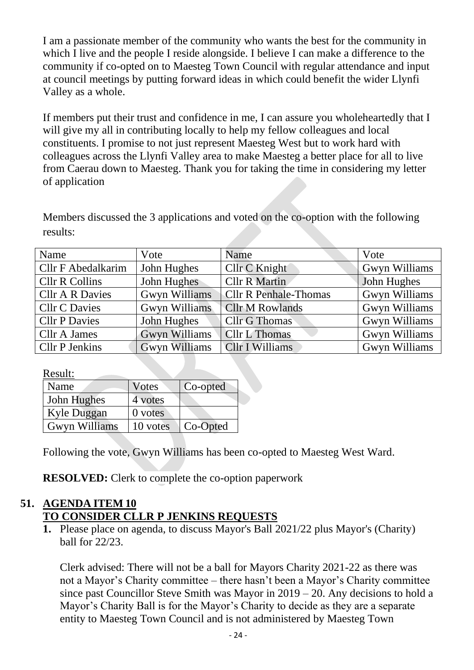I am a passionate member of the community who wants the best for the community in which I live and the people I reside alongside. I believe I can make a difference to the community if co-opted on to Maesteg Town Council with regular attendance and input at council meetings by putting forward ideas in which could benefit the wider Llynfi Valley as a whole.

If members put their trust and confidence in me, I can assure you wholeheartedly that I will give my all in contributing locally to help my fellow colleagues and local constituents. I promise to not just represent Maesteg West but to work hard with colleagues across the Llynfi Valley area to make Maesteg a better place for all to live from Caerau down to Maesteg. Thank you for taking the time in considering my letter of application

Members discussed the 3 applications and voted on the co-option with the following results:

| Name                      | Vote                 | Name                         | Vote                 |
|---------------------------|----------------------|------------------------------|----------------------|
| <b>Cllr F Abedalkarim</b> | John Hughes          | Cllr C Knight                | <b>Gwyn Williams</b> |
| <b>Cllr R Collins</b>     | John Hughes          | <b>Cllr R Martin</b>         | John Hughes          |
| <b>Cllr A R Davies</b>    | <b>Gwyn Williams</b> | <b>Cllr R Penhale-Thomas</b> | <b>Gwyn Williams</b> |
| <b>Cllr C Davies</b>      | Gwyn Williams        | <b>Cllr M Rowlands</b>       | Gwyn Williams        |
| <b>Cllr P Davies</b>      | John Hughes          | <b>Cllr G Thomas</b>         | Gwyn Williams        |
| Cllr A James              | <b>Gwyn Williams</b> | <b>Cllr L Thomas</b>         | Gwyn Williams        |
| <b>Cllr P Jenkins</b>     | <b>Gwyn Williams</b> | <b>Cllr I Williams</b>       | Gwyn Williams        |

Result:

| Name                 | Votes     | Co-opted |
|----------------------|-----------|----------|
| John Hughes          | 4 votes   |          |
| Kyle Duggan          | $0$ votes |          |
| <b>Gwyn Williams</b> | 10 votes  | Co-Opted |

Following the vote, Gwyn Williams has been co-opted to Maesteg West Ward.

**RESOLVED:** Clerk to complete the co-option paperwork

## **51. AGENDA ITEM 10 TO CONSIDER CLLR P JENKINS REQUESTS**

**1.** Please place on agenda, to discuss Mayor's Ball 2021/22 plus Mayor's (Charity) ball for 22/23.

Clerk advised: There will not be a ball for Mayors Charity 2021-22 as there was not a Mayor's Charity committee – there hasn't been a Mayor's Charity committee since past Councillor Steve Smith was Mayor in 2019 – 20. Any decisions to hold a Mayor's Charity Ball is for the Mayor's Charity to decide as they are a separate entity to Maesteg Town Council and is not administered by Maesteg Town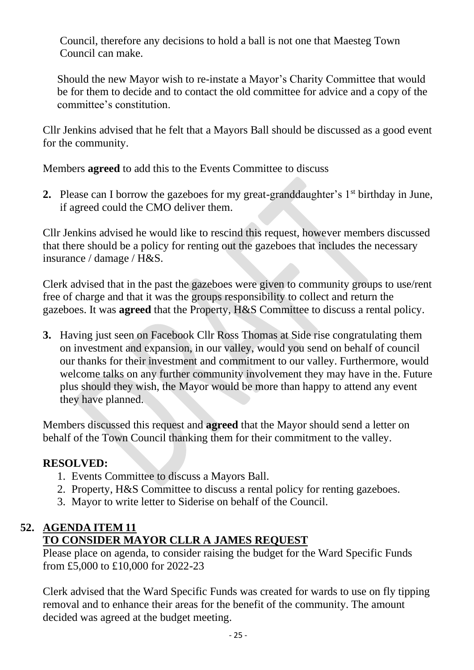Council, therefore any decisions to hold a ball is not one that Maesteg Town Council can make.

Should the new Mayor wish to re-instate a Mayor's Charity Committee that would be for them to decide and to contact the old committee for advice and a copy of the committee's constitution.

Cllr Jenkins advised that he felt that a Mayors Ball should be discussed as a good event for the community.

Members **agreed** to add this to the Events Committee to discuss

**2.** Please can I borrow the gazeboes for my great-granddaughter's 1<sup>st</sup> birthday in June, if agreed could the CMO deliver them.

Cllr Jenkins advised he would like to rescind this request, however members discussed that there should be a policy for renting out the gazeboes that includes the necessary insurance / damage / H&S.

Clerk advised that in the past the gazeboes were given to community groups to use/rent free of charge and that it was the groups responsibility to collect and return the gazeboes. It was **agreed** that the Property, H&S Committee to discuss a rental policy.

**3.** Having just seen on Facebook Cllr Ross Thomas at Side rise congratulating them on investment and expansion, in our valley, would you send on behalf of council our thanks for their investment and commitment to our valley. Furthermore, would welcome talks on any further community involvement they may have in the. Future plus should they wish, the Mayor would be more than happy to attend any event they have planned.

Members discussed this request and **agreed** that the Mayor should send a letter on behalf of the Town Council thanking them for their commitment to the valley.

# **RESOLVED:**

- 1. Events Committee to discuss a Mayors Ball.
- 2. Property, H&S Committee to discuss a rental policy for renting gazeboes.
- 3. Mayor to write letter to Siderise on behalf of the Council.

# **52. AGENDA ITEM 11 TO CONSIDER MAYOR CLLR A JAMES REQUEST**

Please place on agenda, to consider raising the budget for the Ward Specific Funds from £5,000 to £10,000 for 2022-23

Clerk advised that the Ward Specific Funds was created for wards to use on fly tipping removal and to enhance their areas for the benefit of the community. The amount decided was agreed at the budget meeting.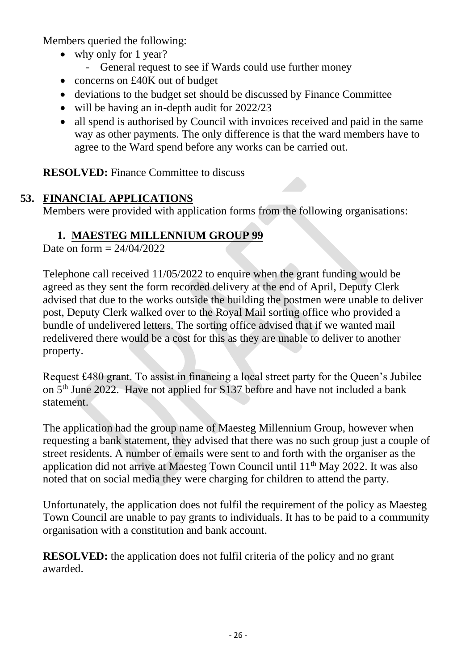Members queried the following:

- why only for 1 year?
	- General request to see if Wards could use further money
- concerns on £40K out of budget
- deviations to the budget set should be discussed by Finance Committee
- will be having an in-depth audit for 2022/23
- all spend is authorised by Council with invoices received and paid in the same way as other payments. The only difference is that the ward members have to agree to the Ward spend before any works can be carried out.

**RESOLVED:** Finance Committee to discuss

## **53. FINANCIAL APPLICATIONS**

Members were provided with application forms from the following organisations:

## **1. MAESTEG MILLENNIUM GROUP 99**

Date on form  $= 24/04/2022$ 

Telephone call received 11/05/2022 to enquire when the grant funding would be agreed as they sent the form recorded delivery at the end of April, Deputy Clerk advised that due to the works outside the building the postmen were unable to deliver post, Deputy Clerk walked over to the Royal Mail sorting office who provided a bundle of undelivered letters. The sorting office advised that if we wanted mail redelivered there would be a cost for this as they are unable to deliver to another property.

Request £480 grant. To assist in financing a local street party for the Queen's Jubilee on 5th June 2022. Have not applied for S137 before and have not included a bank statement.

The application had the group name of Maesteg Millennium Group, however when requesting a bank statement, they advised that there was no such group just a couple of street residents. A number of emails were sent to and forth with the organiser as the application did not arrive at Maesteg Town Council until  $11<sup>th</sup>$  May 2022. It was also noted that on social media they were charging for children to attend the party.

Unfortunately, the application does not fulfil the requirement of the policy as Maesteg Town Council are unable to pay grants to individuals. It has to be paid to a community organisation with a constitution and bank account.

**RESOLVED:** the application does not fulfil criteria of the policy and no grant awarded.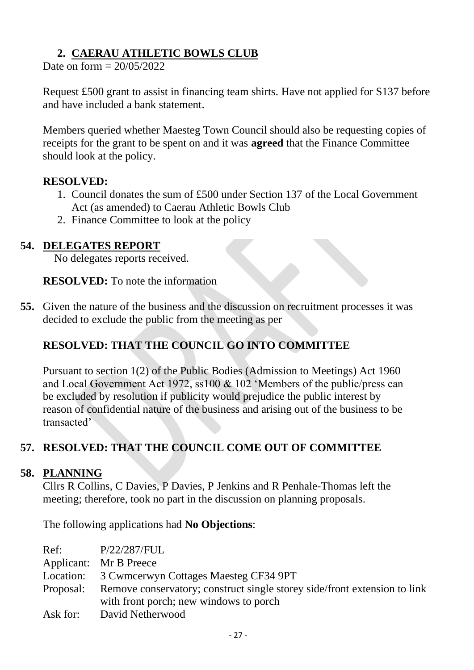# **2. CAERAU ATHLETIC BOWLS CLUB**

Date on form  $= 20/05/2022$ 

Request £500 grant to assist in financing team shirts. Have not applied for S137 before and have included a bank statement.

Members queried whether Maesteg Town Council should also be requesting copies of receipts for the grant to be spent on and it was **agreed** that the Finance Committee should look at the policy.

#### **RESOLVED:**

- 1. Council donates the sum of £500 under Section 137 of the Local Government Act (as amended) to Caerau Athletic Bowls Club
- 2. Finance Committee to look at the policy

### **54. DELEGATES REPORT**

No delegates reports received.

**RESOLVED:** To note the information

**55.** Given the nature of the business and the discussion on recruitment processes it was decided to exclude the public from the meeting as per

# **RESOLVED: THAT THE COUNCIL GO INTO COMMITTEE**

Pursuant to section 1(2) of the Public Bodies (Admission to Meetings) Act 1960 and Local Government Act 1972, ss100 & 102 'Members of the public/press can be excluded by resolution if publicity would prejudice the public interest by reason of confidential nature of the business and arising out of the business to be transacted'

# **57. RESOLVED: THAT THE COUNCIL COME OUT OF COMMITTEE**

### **58. PLANNING**

Cllrs R Collins, C Davies, P Davies, P Jenkins and R Penhale-Thomas left the meeting; therefore, took no part in the discussion on planning proposals.

The following applications had **No Objections**:

| Ref:     | P/22/287/FUL                                                                        |
|----------|-------------------------------------------------------------------------------------|
|          | Applicant: Mr B Preece                                                              |
|          | Location: 3 Cwmcerwyn Cottages Maesteg CF34 9PT                                     |
|          | Proposal: Remove conservatory; construct single storey side/front extension to link |
|          | with front porch; new windows to porch                                              |
| Ask for: | David Netherwood                                                                    |